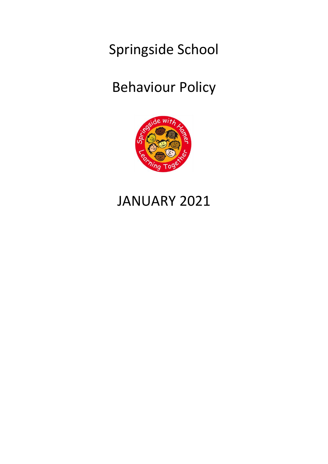Springside School

# Behaviour Policy



# JANUARY 2021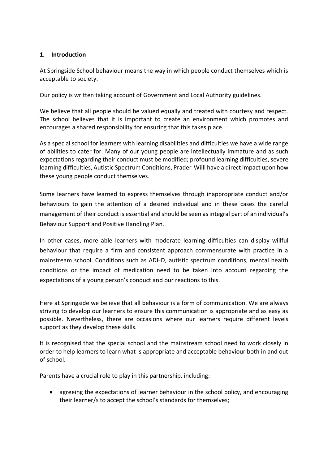### **1. Introduction**

At Springside School behaviour means the way in which people conduct themselves which is acceptable to society.

Our policy is written taking account of Government and Local Authority guidelines.

We believe that all people should be valued equally and treated with courtesy and respect. The school believes that it is important to create an environment which promotes and encourages a shared responsibility for ensuring that this takes place.

As a special school for learners with learning disabilities and difficulties we have a wide range of abilities to cater for. Many of our young people are intellectually immature and as such expectations regarding their conduct must be modified; profound learning difficulties, severe learning difficulties, Autistic Spectrum Conditions, Prader-Willi have a direct impact upon how these young people conduct themselves.

Some learners have learned to express themselves through inappropriate conduct and/or behaviours to gain the attention of a desired individual and in these cases the careful management of their conduct is essential and should be seen as integral part of an individual's Behaviour Support and Positive Handling Plan.

In other cases, more able learners with moderate learning difficulties can display willful behaviour that require a firm and consistent approach commensurate with practice in a mainstream school. Conditions such as ADHD, autistic spectrum conditions, mental health conditions or the impact of medication need to be taken into account regarding the expectations of a young person's conduct and our reactions to this.

Here at Springside we believe that all behaviour is a form of communication. We are always striving to develop our learners to ensure this communication is appropriate and as easy as possible. Nevertheless, there are occasions where our learners require different levels support as they develop these skills.

It is recognised that the special school and the mainstream school need to work closely in order to help learners to learn what is appropriate and acceptable behaviour both in and out of school.

Parents have a crucial role to play in this partnership, including:

• agreeing the expectations of learner behaviour in the school policy, and encouraging their learner/s to accept the school's standards for themselves;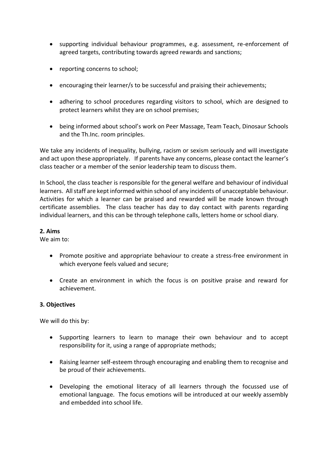- supporting individual behaviour programmes, e.g. assessment, re-enforcement of agreed targets, contributing towards agreed rewards and sanctions;
- reporting concerns to school;
- encouraging their learner/s to be successful and praising their achievements;
- adhering to school procedures regarding visitors to school, which are designed to protect learners whilst they are on school premises;
- being informed about school's work on Peer Massage, Team Teach, Dinosaur Schools and the Th.Inc. room principles.

We take any incidents of inequality, bullying, racism or sexism seriously and will investigate and act upon these appropriately. If parents have any concerns, please contact the learner's class teacher or a member of the senior leadership team to discuss them.

In School, the class teacher is responsible for the general welfare and behaviour of individual learners. All staff are kept informed within school of any incidents of unacceptable behaviour. Activities for which a learner can be praised and rewarded will be made known through certificate assemblies. The class teacher has day to day contact with parents regarding individual learners, and this can be through telephone calls, letters home or school diary.

#### **2. Aims**

We aim to:

- Promote positive and appropriate behaviour to create a stress-free environment in which everyone feels valued and secure;
- Create an environment in which the focus is on positive praise and reward for achievement.

#### **3. Objectives**

We will do this by:

- Supporting learners to learn to manage their own behaviour and to accept responsibility for it, using a range of appropriate methods;
- Raising learner self-esteem through encouraging and enabling them to recognise and be proud of their achievements.
- Developing the emotional literacy of all learners through the focussed use of emotional language. The focus emotions will be introduced at our weekly assembly and embedded into school life.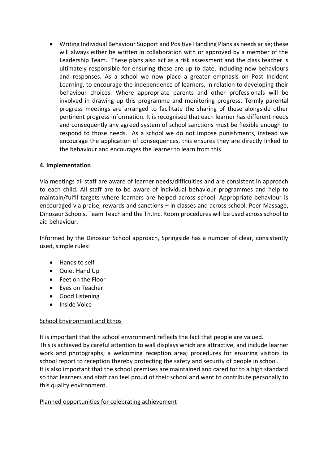• Writing Individual Behaviour Support and Positive Handling Plans as needs arise; these will always either be written in collaboration with or approved by a member of the Leadership Team. These plans also act as a risk assessment and the class teacher is ultimately responsible for ensuring these are up to date, including new behaviours and responses. As a school we now place a greater emphasis on Post Incident Learning, to encourage the independence of learners, in relation to developing their behaviour choices. Where appropriate parents and other professionals will be involved in drawing up this programme and monitoring progress. Termly parental progress meetings are arranged to facilitate the sharing of these alongside other pertinent progress information. It is recognised that each learner has different needs and consequently any agreed system of school sanctions must be flexible enough to respond to those needs. As a school we do not impose punishments, instead we encourage the application of consequences, this ensures they are directly linked to the behaviour and encourages the learner to learn from this.

### **4. Implementation**

Via meetings all staff are aware of learner needs/difficulties and are consistent in approach to each child. All staff are to be aware of individual behaviour programmes and help to maintain/fulfil targets where learners are helped across school. Appropriate behaviour is encouraged via praise, rewards and sanctions – in classes and across school. Peer Massage, Dinosaur Schools, Team Teach and the Th.Inc. Room procedures will be used across school to aid behaviour.

Informed by the Dinosaur School approach, Springside has a number of clear, consistently used, simple rules:

- Hands to self
- Quiet Hand Up
- Feet on the Floor
- Eyes on Teacher
- Good Listening
- Inside Voice

### School Environment and Ethos

It is important that the school environment reflects the fact that people are valued. This is achieved by careful attention to wall displays which are attractive, and include learner work and photographs; a welcoming reception area; procedures for ensuring visitors to school report to reception thereby protecting the safety and security of people in school. It is also important that the school premises are maintained and cared for to a high standard so that learners and staff can feel proud of their school and want to contribute personally to this quality environment.

#### Planned opportunities for celebrating achievement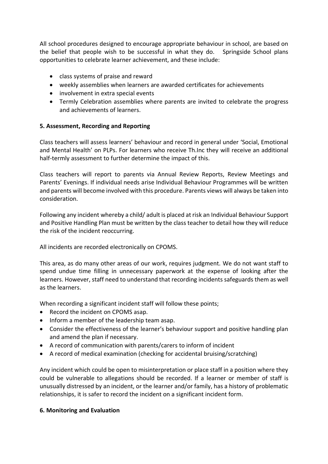All school procedures designed to encourage appropriate behaviour in school, are based on the belief that people wish to be successful in what they do. Springside School plans opportunities to celebrate learner achievement, and these include:

- class systems of praise and reward
- weekly assemblies when learners are awarded certificates for achievements
- involvement in extra special events
- Termly Celebration assemblies where parents are invited to celebrate the progress and achievements of learners.

### **5. Assessment, Recording and Reporting**

Class teachers will assess learners' behaviour and record in general under 'Social, Emotional and Mental Health' on PLPs. For learners who receive Th.Inc they will receive an additional half-termly assessment to further determine the impact of this.

Class teachers will report to parents via Annual Review Reports, Review Meetings and Parents' Evenings. If individual needs arise Individual Behaviour Programmes will be written and parents will become involved with this procedure. Parents views will always be taken into consideration.

Following any incident whereby a child/ adult is placed at risk an Individual Behaviour Support and Positive Handling Plan must be written by the class teacher to detail how they will reduce the risk of the incident reoccurring.

All incidents are recorded electronically on CPOMS.

This area, as do many other areas of our work, requires judgment. We do not want staff to spend undue time filling in unnecessary paperwork at the expense of looking after the learners. However, staff need to understand that recording incidents safeguards them as well as the learners.

When recording a significant incident staff will follow these points;

- Record the incident on CPOMS asap.
- Inform a member of the leadership team asap.
- Consider the effectiveness of the learner's behaviour support and positive handling plan and amend the plan if necessary.
- A record of communication with parents/carers to inform of incident
- A record of medical examination (checking for accidental bruising/scratching)

Any incident which could be open to misinterpretation or place staff in a position where they could be vulnerable to allegations should be recorded. If a learner or member of staff is unusually distressed by an incident, or the learner and/or family, has a history of problematic relationships, it is safer to record the incident on a significant incident form.

### **6. Monitoring and Evaluation**